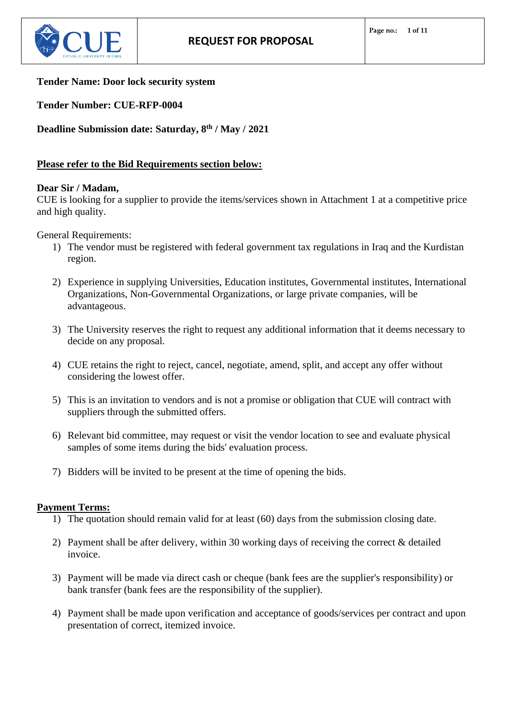

## **Tender Name: Door lock security system**

**Tender Number: CUE-RFP-0004**

**Deadline Submission date: Saturday, 8 th / May / 2021**

## **Please refer to the Bid Requirements section below:**

## **Dear Sir / Madam,**

CUE is looking for a supplier to provide the items/services shown in Attachment 1 at a competitive price and high quality.

General Requirements:

- 1) The vendor must be registered with federal government tax regulations in Iraq and the Kurdistan region.
- 2) Experience in supplying Universities, Education institutes, Governmental institutes, International Organizations, Non-Governmental Organizations, or large private companies, will be advantageous.
- 3) The University reserves the right to request any additional information that it deems necessary to decide on any proposal.
- 4) CUE retains the right to reject, cancel, negotiate, amend, split, and accept any offer without considering the lowest offer.
- 5) This is an invitation to vendors and is not a promise or obligation that CUE will contract with suppliers through the submitted offers.
- 6) Relevant bid committee, may request or visit the vendor location to see and evaluate physical samples of some items during the bids' evaluation process.
- 7) Bidders will be invited to be present at the time of opening the bids.

## **Payment Terms:**

- 1) The quotation should remain valid for at least (60) days from the submission closing date.
- 2) Payment shall be after delivery, within 30 working days of receiving the correct & detailed invoice.
- 3) Payment will be made via direct cash or cheque (bank fees are the supplier's responsibility) or bank transfer (bank fees are the responsibility of the supplier).
- 4) Payment shall be made upon verification and acceptance of goods/services per contract and upon presentation of correct, itemized invoice.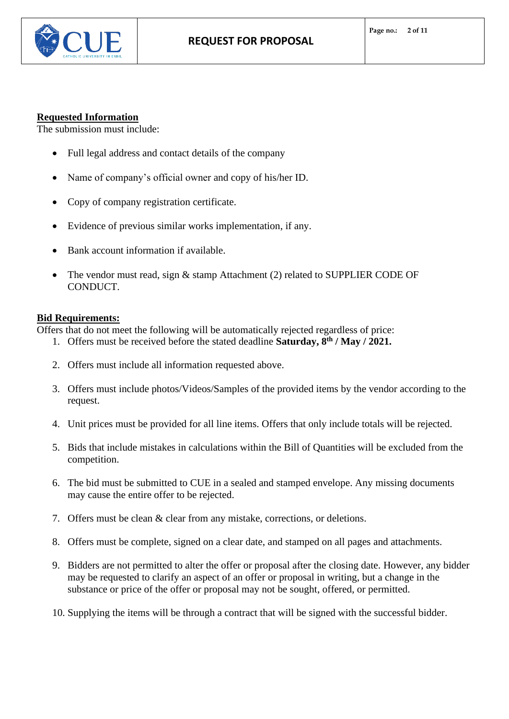

## **Requested Information**

The submission must include:

- Full legal address and contact details of the company
- Name of company's official owner and copy of his/her ID.
- Copy of company registration certificate.
- Evidence of previous similar works implementation, if any.
- Bank account information if available.
- The vendor must read, sign & stamp Attachment (2) related to SUPPLIER CODE OF CONDUCT.

## **Bid Requirements:**

Offers that do not meet the following will be automatically rejected regardless of price:

- 1. Offers must be received before the stated deadline **Saturday, 8 th / May / 2021.**
- 2. Offers must include all information requested above.
- 3. Offers must include photos/Videos/Samples of the provided items by the vendor according to the request.
- 4. Unit prices must be provided for all line items. Offers that only include totals will be rejected.
- 5. Bids that include mistakes in calculations within the Bill of Quantities will be excluded from the competition.
- 6. The bid must be submitted to CUE in a sealed and stamped envelope. Any missing documents may cause the entire offer to be rejected.
- 7. Offers must be clean & clear from any mistake, corrections, or deletions.
- 8. Offers must be complete, signed on a clear date, and stamped on all pages and attachments.
- 9. Bidders are not permitted to alter the offer or proposal after the closing date. However, any bidder may be requested to clarify an aspect of an offer or proposal in writing, but a change in the substance or price of the offer or proposal may not be sought, offered, or permitted.
- 10. Supplying the items will be through a contract that will be signed with the successful bidder.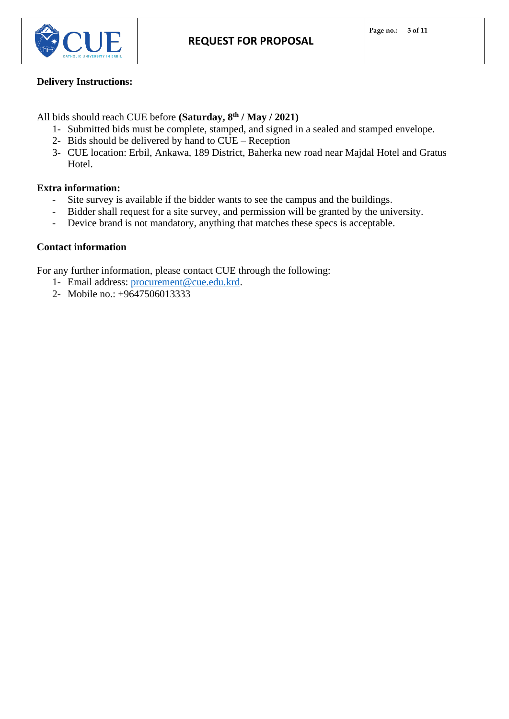

## **Delivery Instructions:**

All bids should reach CUE before **(Saturday, 8 th / May / 2021)**

- 1- Submitted bids must be complete, stamped, and signed in a sealed and stamped envelope.
- 2- Bids should be delivered by hand to CUE Reception
- 3- CUE location: Erbil, Ankawa, 189 District, Baherka new road near Majdal Hotel and Gratus Hotel.

## **Extra information:**

- Site survey is available if the bidder wants to see the campus and the buildings.
- Bidder shall request for a site survey, and permission will be granted by the university.
- Device brand is not mandatory, anything that matches these specs is acceptable.

## **Contact information**

For any further information, please contact CUE through the following:

- 1- Email address: [procurement@cue.edu.krd.](mailto:procurement@cue.edu.krd)
- 2- Mobile no.: +9647506013333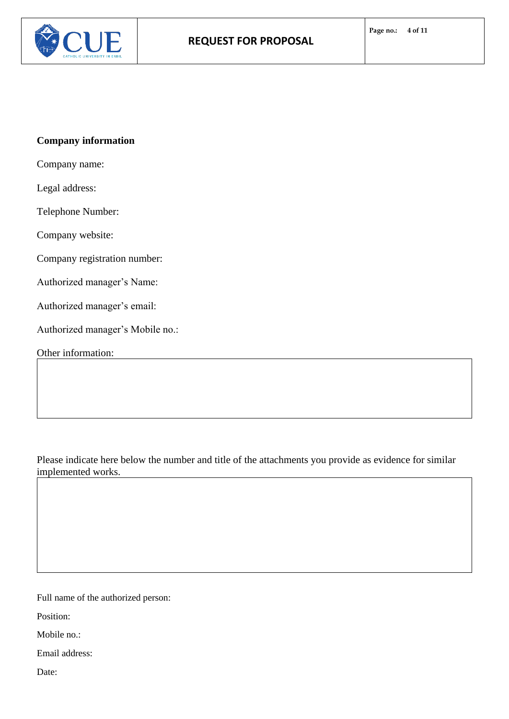



# **Company information**

Company name:

Legal address:

Telephone Number:

Company website:

Company registration number:

Authorized manager's Name:

Authorized manager's email:

Authorized manager's Mobile no.:

Other information:

Please indicate here below the number and title of the attachments you provide as evidence for similar implemented works.

Full name of the authorized person:

Position:

Mobile no.:

Email address:

Date: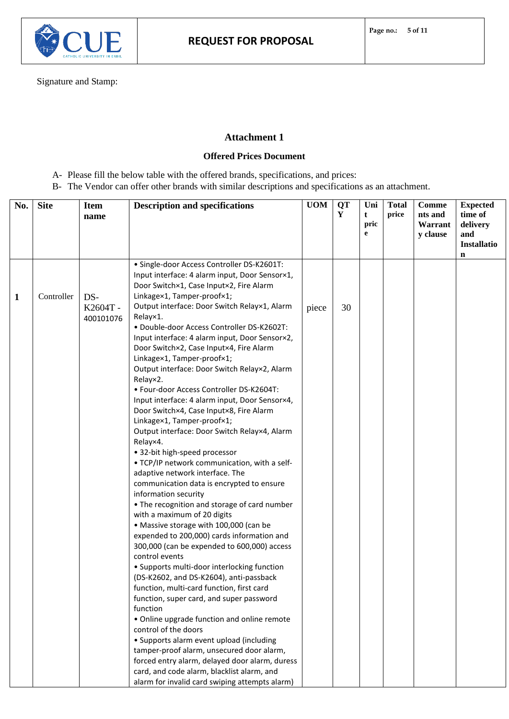

Signature and Stamp:

## **Attachment 1**

### **Offered Prices Document**

- A- Please fill the below table with the offered brands, specifications, and prices:
- B- The Vendor can offer other brands with similar descriptions and specifications as an attachment.

| No. | <b>Site</b> | <b>Item</b><br>name         | <b>Description and specifications</b>                                                                                                                                                                                                                                                                                                                                                                                                                                                                                                                                                                                                                                                                                                                                                                                                                                                                                                                                                                                                                                                                                                                                                                                                                                                                                                                                                                                                                                                                                                                                                                                                                       | <b>UOM</b> | <b>QT</b><br>Y | Uni<br>t<br>pric<br>e | <b>Total</b><br>price | Comme<br>nts and<br>Warrant<br>y clause | <b>Expected</b><br>time of<br>delivery<br>and<br><b>Installatio</b><br>n |
|-----|-------------|-----------------------------|-------------------------------------------------------------------------------------------------------------------------------------------------------------------------------------------------------------------------------------------------------------------------------------------------------------------------------------------------------------------------------------------------------------------------------------------------------------------------------------------------------------------------------------------------------------------------------------------------------------------------------------------------------------------------------------------------------------------------------------------------------------------------------------------------------------------------------------------------------------------------------------------------------------------------------------------------------------------------------------------------------------------------------------------------------------------------------------------------------------------------------------------------------------------------------------------------------------------------------------------------------------------------------------------------------------------------------------------------------------------------------------------------------------------------------------------------------------------------------------------------------------------------------------------------------------------------------------------------------------------------------------------------------------|------------|----------------|-----------------------|-----------------------|-----------------------------------------|--------------------------------------------------------------------------|
| 1   | Controller  | DS-<br>K2604T-<br>400101076 | · Single-door Access Controller DS-K2601T:<br>Input interface: 4 alarm input, Door Sensor×1,<br>Door Switch×1, Case Input×2, Fire Alarm<br>Linkage×1, Tamper-proof×1;<br>Output interface: Door Switch Relay×1, Alarm<br>Relay×1.<br>· Double-door Access Controller DS-K2602T:<br>Input interface: 4 alarm input, Door Sensor×2,<br>Door Switch×2, Case Input×4, Fire Alarm<br>Linkage×1, Tamper-proof×1;<br>Output interface: Door Switch Relay×2, Alarm<br>Relay×2.<br>· Four-door Access Controller DS-K2604T:<br>Input interface: 4 alarm input, Door Sensor×4,<br>Door Switch×4, Case Input×8, Fire Alarm<br>Linkage×1, Tamper-proof×1;<br>Output interface: Door Switch Relay×4, Alarm<br>Relay×4.<br>• 32-bit high-speed processor<br>. TCP/IP network communication, with a self-<br>adaptive network interface. The<br>communication data is encrypted to ensure<br>information security<br>• The recognition and storage of card number<br>with a maximum of 20 digits<br>• Massive storage with 100,000 (can be<br>expended to 200,000) cards information and<br>300,000 (can be expended to 600,000) access<br>control events<br>• Supports multi-door interlocking function<br>(DS-K2602, and DS-K2604), anti-passback<br>function, multi-card function, first card<br>function, super card, and super password<br>function<br>• Online upgrade function and online remote<br>control of the doors<br>• Supports alarm event upload (including<br>tamper-proof alarm, unsecured door alarm,<br>forced entry alarm, delayed door alarm, duress<br>card, and code alarm, blacklist alarm, and<br>alarm for invalid card swiping attempts alarm) | piece      | 30             |                       |                       |                                         |                                                                          |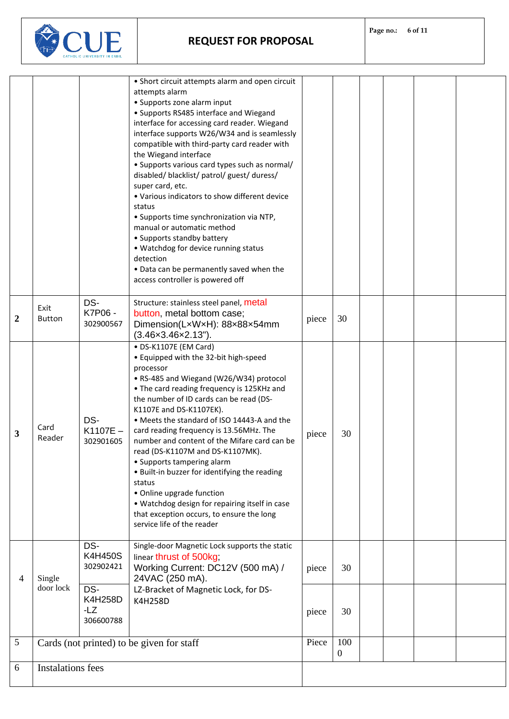**REQUEST FOR PROPOSAL**



|                |                                           |                                           | • Short circuit attempts alarm and open circuit<br>attempts alarm                                                                                                                                                                                                                                                                                                              |       |                         |  |  |  |  |
|----------------|-------------------------------------------|-------------------------------------------|--------------------------------------------------------------------------------------------------------------------------------------------------------------------------------------------------------------------------------------------------------------------------------------------------------------------------------------------------------------------------------|-------|-------------------------|--|--|--|--|
|                |                                           |                                           | • Supports zone alarm input<br>• Supports RS485 interface and Wiegand<br>interface for accessing card reader. Wiegand                                                                                                                                                                                                                                                          |       |                         |  |  |  |  |
|                |                                           |                                           | interface supports W26/W34 and is seamlessly<br>compatible with third-party card reader with<br>the Wiegand interface                                                                                                                                                                                                                                                          |       |                         |  |  |  |  |
|                |                                           |                                           | • Supports various card types such as normal/<br>disabled/ blacklist/ patrol/ guest/ duress/                                                                                                                                                                                                                                                                                   |       |                         |  |  |  |  |
|                |                                           |                                           | super card, etc.<br>. Various indicators to show different device                                                                                                                                                                                                                                                                                                              |       |                         |  |  |  |  |
|                |                                           |                                           | status<br>• Supports time synchronization via NTP,<br>manual or automatic method                                                                                                                                                                                                                                                                                               |       |                         |  |  |  |  |
|                |                                           |                                           | • Supports standby battery<br>• Watchdog for device running status<br>detection                                                                                                                                                                                                                                                                                                |       |                         |  |  |  |  |
|                |                                           |                                           | . Data can be permanently saved when the<br>access controller is powered off                                                                                                                                                                                                                                                                                                   |       |                         |  |  |  |  |
| $\overline{2}$ | Exit<br><b>Button</b>                     | DS-<br>K7P06 -<br>302900567               | Structure: stainless steel panel, metal<br>button, metal bottom case;<br>Dimension(LxWxH): 88x88x54mm<br>$(3.46 \times 3.46 \times 2.13^{n})$ .                                                                                                                                                                                                                                | piece | 30                      |  |  |  |  |
| 3              | Card<br>Reader                            | DS-<br>K1107E-<br>302901605               | • DS-K1107E (EM Card)<br>• Equipped with the 32-bit high-speed<br>processor<br>• RS-485 and Wiegand (W26/W34) protocol<br>• The card reading frequency is 125KHz and<br>the number of ID cards can be read (DS-<br>K1107E and DS-K1107EK).<br>• Meets the standard of ISO 14443-A and the                                                                                      | piece | 30                      |  |  |  |  |
|                |                                           |                                           | card reading frequency is 13.56MHz. The<br>number and content of the Mifare card can be<br>read (DS-K1107M and DS-K1107MK).<br>• Supports tampering alarm<br>. Built-in buzzer for identifying the reading<br>status<br>• Online upgrade function<br>• Watchdog design for repairing itself in case<br>that exception occurs, to ensure the long<br>service life of the reader |       |                         |  |  |  |  |
| 4              | Single<br>door lock                       | DS-<br><b>K4H450S</b><br>302902421        | Single-door Magnetic Lock supports the static<br>linear thrust of 500kg;<br>Working Current: DC12V (500 mA) /<br>24VAC (250 mA).                                                                                                                                                                                                                                               | piece | 30                      |  |  |  |  |
|                |                                           | DS-<br><b>K4H258D</b><br>-LZ<br>306600788 | LZ-Bracket of Magnetic Lock, for DS-<br>K4H258D                                                                                                                                                                                                                                                                                                                                | piece | 30                      |  |  |  |  |
| 5              | Cards (not printed) to be given for staff |                                           |                                                                                                                                                                                                                                                                                                                                                                                | Piece | 100<br>$\boldsymbol{0}$ |  |  |  |  |
| 6              | <b>Instalations fees</b>                  |                                           |                                                                                                                                                                                                                                                                                                                                                                                |       |                         |  |  |  |  |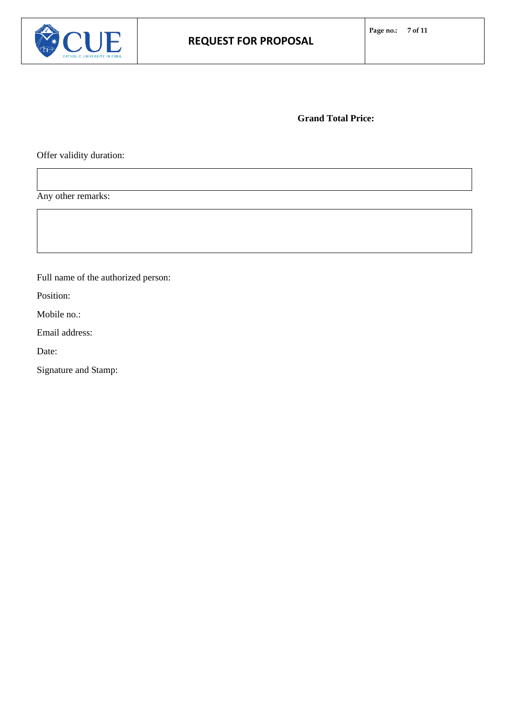

**Grand Total Price:**

Offer validity duration:

Any other remarks:

Full name of the authorized person:

Position:

Mobile no.:

Email address:

Date:

Signature and Stamp: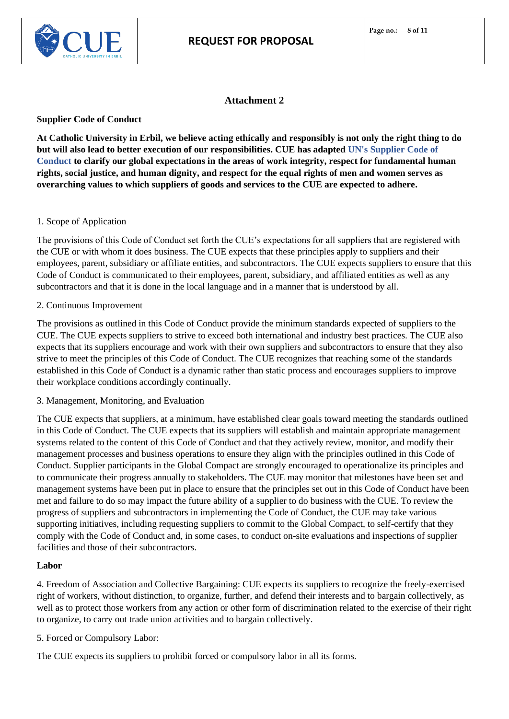

## **Attachment 2**

**Supplier Code of Conduct**

**At Catholic University in Erbil, we believe acting ethically and responsibly is not only the right thing to do but will also lead to better execution of our responsibilities. CUE has adapted UN's Supplier Code of Conduct to clarify our global expectations in the areas of work integrity, respect for fundamental human rights, social justice, and human dignity, and respect for the equal rights of men and women serves as overarching values to which suppliers of goods and services to the CUE are expected to adhere.** 

### 1. Scope of Application

The provisions of this Code of Conduct set forth the CUE's expectations for all suppliers that are registered with the CUE or with whom it does business. The CUE expects that these principles apply to suppliers and their employees, parent, subsidiary or affiliate entities, and subcontractors. The CUE expects suppliers to ensure that this Code of Conduct is communicated to their employees, parent, subsidiary, and affiliated entities as well as any subcontractors and that it is done in the local language and in a manner that is understood by all.

### 2. Continuous Improvement

The provisions as outlined in this Code of Conduct provide the minimum standards expected of suppliers to the CUE. The CUE expects suppliers to strive to exceed both international and industry best practices. The CUE also expects that its suppliers encourage and work with their own suppliers and subcontractors to ensure that they also strive to meet the principles of this Code of Conduct. The CUE recognizes that reaching some of the standards established in this Code of Conduct is a dynamic rather than static process and encourages suppliers to improve their workplace conditions accordingly continually.

### 3. Management, Monitoring, and Evaluation

The CUE expects that suppliers, at a minimum, have established clear goals toward meeting the standards outlined in this Code of Conduct. The CUE expects that its suppliers will establish and maintain appropriate management systems related to the content of this Code of Conduct and that they actively review, monitor, and modify their management processes and business operations to ensure they align with the principles outlined in this Code of Conduct. Supplier participants in the Global Compact are strongly encouraged to operationalize its principles and to communicate their progress annually to stakeholders. The CUE may monitor that milestones have been set and management systems have been put in place to ensure that the principles set out in this Code of Conduct have been met and failure to do so may impact the future ability of a supplier to do business with the CUE. To review the progress of suppliers and subcontractors in implementing the Code of Conduct, the CUE may take various supporting initiatives, including requesting suppliers to commit to the Global Compact, to self-certify that they comply with the Code of Conduct and, in some cases, to conduct on-site evaluations and inspections of supplier facilities and those of their subcontractors.

### **Labor**

4. Freedom of Association and Collective Bargaining: CUE expects its suppliers to recognize the freely-exercised right of workers, without distinction, to organize, further, and defend their interests and to bargain collectively, as well as to protect those workers from any action or other form of discrimination related to the exercise of their right to organize, to carry out trade union activities and to bargain collectively.

5. Forced or Compulsory Labor:

The CUE expects its suppliers to prohibit forced or compulsory labor in all its forms.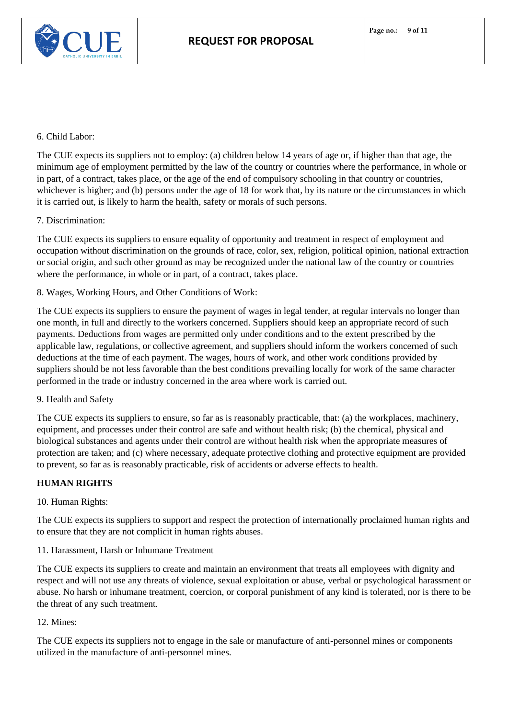

### 6. Child Labor:

The CUE expects its suppliers not to employ: (a) children below 14 years of age or, if higher than that age, the minimum age of employment permitted by the law of the country or countries where the performance, in whole or in part, of a contract, takes place, or the age of the end of compulsory schooling in that country or countries, whichever is higher; and (b) persons under the age of 18 for work that, by its nature or the circumstances in which it is carried out, is likely to harm the health, safety or morals of such persons.

### 7. Discrimination:

The CUE expects its suppliers to ensure equality of opportunity and treatment in respect of employment and occupation without discrimination on the grounds of race, color, sex, religion, political opinion, national extraction or social origin, and such other ground as may be recognized under the national law of the country or countries where the performance, in whole or in part, of a contract, takes place.

8. Wages, Working Hours, and Other Conditions of Work:

The CUE expects its suppliers to ensure the payment of wages in legal tender, at regular intervals no longer than one month, in full and directly to the workers concerned. Suppliers should keep an appropriate record of such payments. Deductions from wages are permitted only under conditions and to the extent prescribed by the applicable law, regulations, or collective agreement, and suppliers should inform the workers concerned of such deductions at the time of each payment. The wages, hours of work, and other work conditions provided by suppliers should be not less favorable than the best conditions prevailing locally for work of the same character performed in the trade or industry concerned in the area where work is carried out.

#### 9. Health and Safety

The CUE expects its suppliers to ensure, so far as is reasonably practicable, that: (a) the workplaces, machinery, equipment, and processes under their control are safe and without health risk; (b) the chemical, physical and biological substances and agents under their control are without health risk when the appropriate measures of protection are taken; and (c) where necessary, adequate protective clothing and protective equipment are provided to prevent, so far as is reasonably practicable, risk of accidents or adverse effects to health.

### **HUMAN RIGHTS**

### 10. Human Rights:

The CUE expects its suppliers to support and respect the protection of internationally proclaimed human rights and to ensure that they are not complicit in human rights abuses.

11. Harassment, Harsh or Inhumane Treatment

The CUE expects its suppliers to create and maintain an environment that treats all employees with dignity and respect and will not use any threats of violence, sexual exploitation or abuse, verbal or psychological harassment or abuse. No harsh or inhumane treatment, coercion, or corporal punishment of any kind is tolerated, nor is there to be the threat of any such treatment.

## 12. Mines:

The CUE expects its suppliers not to engage in the sale or manufacture of anti-personnel mines or components utilized in the manufacture of anti-personnel mines.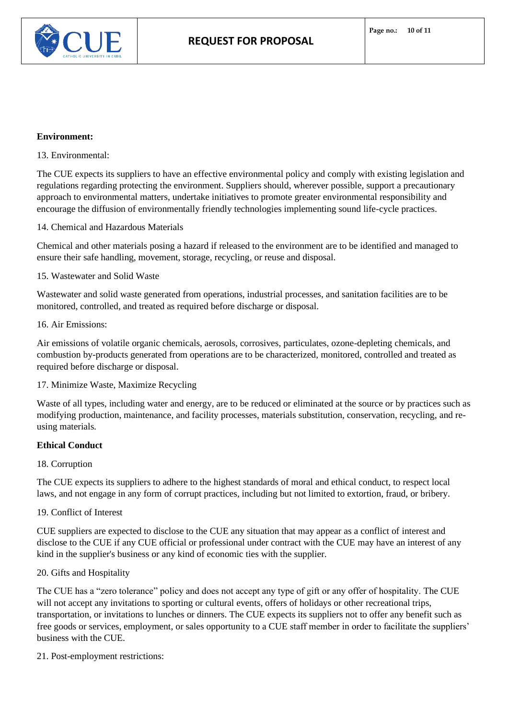

#### **Environment:**

13. Environmental:

The CUE expects its suppliers to have an effective environmental policy and comply with existing legislation and regulations regarding protecting the environment. Suppliers should, wherever possible, support a precautionary approach to environmental matters, undertake initiatives to promote greater environmental responsibility and encourage the diffusion of environmentally friendly technologies implementing sound life-cycle practices.

14. Chemical and Hazardous Materials

Chemical and other materials posing a hazard if released to the environment are to be identified and managed to ensure their safe handling, movement, storage, recycling, or reuse and disposal.

### 15. Wastewater and Solid Waste

Wastewater and solid waste generated from operations, industrial processes, and sanitation facilities are to be monitored, controlled, and treated as required before discharge or disposal.

#### 16. Air Emissions:

Air emissions of volatile organic chemicals, aerosols, corrosives, particulates, ozone-depleting chemicals, and combustion by-products generated from operations are to be characterized, monitored, controlled and treated as required before discharge or disposal.

#### 17. Minimize Waste, Maximize Recycling

Waste of all types, including water and energy, are to be reduced or eliminated at the source or by practices such as modifying production, maintenance, and facility processes, materials substitution, conservation, recycling, and reusing materials.

#### **Ethical Conduct**

#### 18. Corruption

The CUE expects its suppliers to adhere to the highest standards of moral and ethical conduct, to respect local laws, and not engage in any form of corrupt practices, including but not limited to extortion, fraud, or bribery.

#### 19. Conflict of Interest

CUE suppliers are expected to disclose to the CUE any situation that may appear as a conflict of interest and disclose to the CUE if any CUE official or professional under contract with the CUE may have an interest of any kind in the supplier's business or any kind of economic ties with the supplier.

#### 20. Gifts and Hospitality

The CUE has a "zero tolerance" policy and does not accept any type of gift or any offer of hospitality. The CUE will not accept any invitations to sporting or cultural events, offers of holidays or other recreational trips, transportation, or invitations to lunches or dinners. The CUE expects its suppliers not to offer any benefit such as free goods or services, employment, or sales opportunity to a CUE staff member in order to facilitate the suppliers' business with the CUE.

21. Post-employment restrictions: